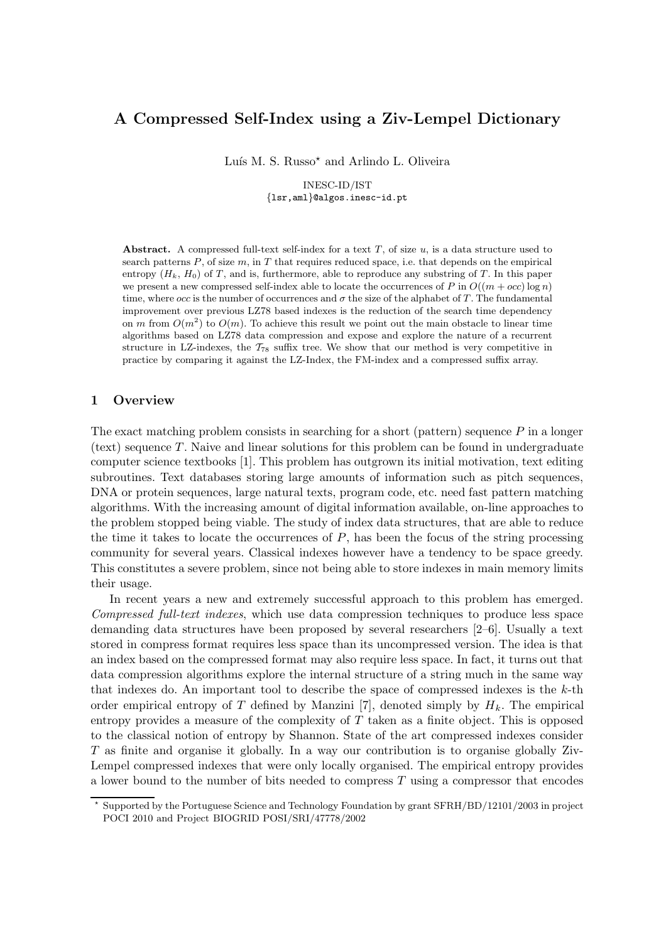# A Compressed Self-Index using a Ziv-Lempel Dictionary

Luís M. S. Russo<sup>\*</sup> and Arlindo L. Oliveira

INESC-ID/IST {lsr,aml}@algos.inesc-id.pt

Abstract. A compressed full-text self-index for a text  $T$ , of size  $u$ , is a data structure used to search patterns  $P$ , of size  $m$ , in  $T$  that requires reduced space, i.e. that depends on the empirical entropy  $(H_k, H_0)$  of T, and is, furthermore, able to reproduce any substring of T. In this paper we present a new compressed self-index able to locate the occurrences of P in  $O((m + occ) \log n)$ time, where occ is the number of occurrences and  $\sigma$  the size of the alphabet of T. The fundamental improvement over previous LZ78 based indexes is the reduction of the search time dependency on m from  $O(m^2)$  to  $O(m)$ . To achieve this result we point out the main obstacle to linear time algorithms based on LZ78 data compression and expose and explore the nature of a recurrent structure in LZ-indexes, the  $T_{78}$  suffix tree. We show that our method is very competitive in practice by comparing it against the LZ-Index, the FM-index and a compressed suffix array.

## 1 Overview

The exact matching problem consists in searching for a short (pattern) sequence  $P$  in a longer (text) sequence  $T$ . Naive and linear solutions for this problem can be found in undergraduate computer science textbooks [1]. This problem has outgrown its initial motivation, text editing subroutines. Text databases storing large amounts of information such as pitch sequences, DNA or protein sequences, large natural texts, program code, etc. need fast pattern matching algorithms. With the increasing amount of digital information available, on-line approaches to the problem stopped being viable. The study of index data structures, that are able to reduce the time it takes to locate the occurrences of  $P$ , has been the focus of the string processing community for several years. Classical indexes however have a tendency to be space greedy. This constitutes a severe problem, since not being able to store indexes in main memory limits their usage.

In recent years a new and extremely successful approach to this problem has emerged. Compressed full-text indexes, which use data compression techniques to produce less space demanding data structures have been proposed by several researchers [2–6]. Usually a text stored in compress format requires less space than its uncompressed version. The idea is that an index based on the compressed format may also require less space. In fact, it turns out that data compression algorithms explore the internal structure of a string much in the same way that indexes do. An important tool to describe the space of compressed indexes is the  $k$ -th order empirical entropy of T defined by Manzini [7], denoted simply by  $H_k$ . The empirical entropy provides a measure of the complexity of  $T$  taken as a finite object. This is opposed to the classical notion of entropy by Shannon. State of the art compressed indexes consider T as finite and organise it globally. In a way our contribution is to organise globally Ziv-Lempel compressed indexes that were only locally organised. The empirical entropy provides a lower bound to the number of bits needed to compress  $T$  using a compressor that encodes

<sup>?</sup> Supported by the Portuguese Science and Technology Foundation by grant SFRH/BD/12101/2003 in project POCI 2010 and Project BIOGRID POSI/SRI/47778/2002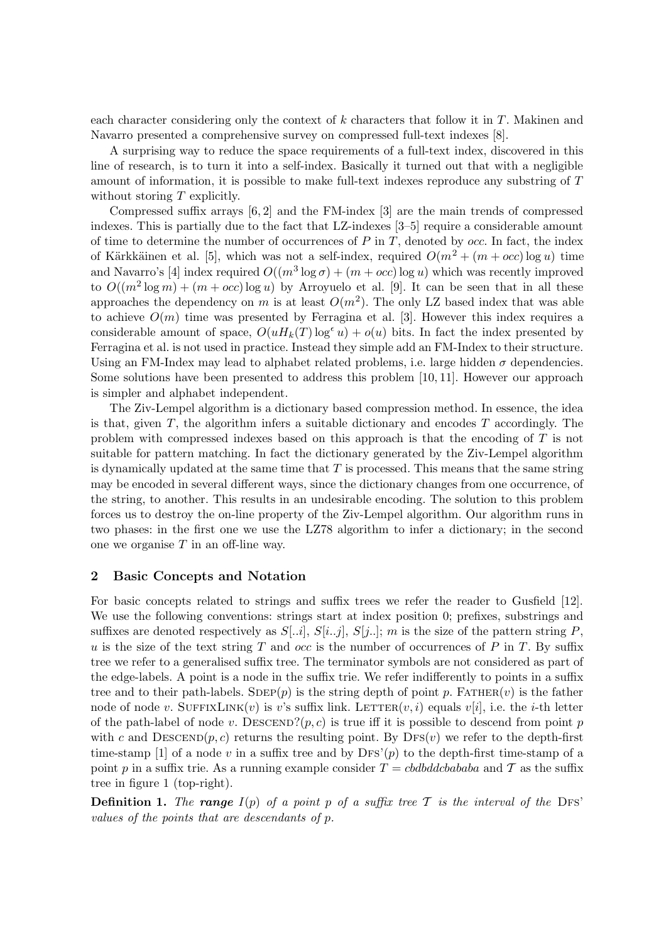each character considering only the context of  $k$  characters that follow it in  $T$ . Makinen and Navarro presented a comprehensive survey on compressed full-text indexes [8].

A surprising way to reduce the space requirements of a full-text index, discovered in this line of research, is to turn it into a self-index. Basically it turned out that with a negligible amount of information, it is possible to make full-text indexes reproduce any substring of T without storing  $T$  explicitly.

Compressed suffix arrays [6, 2] and the FM-index [3] are the main trends of compressed indexes. This is partially due to the fact that LZ-indexes [3–5] require a considerable amount of time to determine the number of occurrences of  $P$  in  $T$ , denoted by *occ*. In fact, the index of Kärkkäinen et al. [5], which was not a self-index, required  $O(m^2 + (m + occ) \log u)$  time and Navarro's [4] index required  $O((m^3 \log \sigma) + (m + occ) \log u)$  which was recently improved to  $O((m^2 \log m) + (m + occ) \log u)$  by Arroyuelo et al. [9]. It can be seen that in all these approaches the dependency on m is at least  $O(m^2)$ . The only LZ based index that was able to achieve  $O(m)$  time was presented by Ferragina et al. [3]. However this index requires a considerable amount of space,  $O(uH_k(T)\log^{\epsilon} u) + o(u)$  bits. In fact the index presented by Ferragina et al. is not used in practice. Instead they simple add an FM-Index to their structure. Using an FM-Index may lead to alphabet related problems, i.e. large hidden  $\sigma$  dependencies. Some solutions have been presented to address this problem [10, 11]. However our approach is simpler and alphabet independent.

The Ziv-Lempel algorithm is a dictionary based compression method. In essence, the idea is that, given T, the algorithm infers a suitable dictionary and encodes T accordingly. The problem with compressed indexes based on this approach is that the encoding of T is not suitable for pattern matching. In fact the dictionary generated by the Ziv-Lempel algorithm is dynamically updated at the same time that  $T$  is processed. This means that the same string may be encoded in several different ways, since the dictionary changes from one occurrence, of the string, to another. This results in an undesirable encoding. The solution to this problem forces us to destroy the on-line property of the Ziv-Lempel algorithm. Our algorithm runs in two phases: in the first one we use the LZ78 algorithm to infer a dictionary; in the second one we organise  $T$  in an off-line way.

#### 2 Basic Concepts and Notation

For basic concepts related to strings and suffix trees we refer the reader to Gusfield [12]. We use the following conventions: strings start at index position 0; prefixes, substrings and suffixes are denoted respectively as  $S[..i], S[i..j], S[j..]$ ; m is the size of the pattern string P, u is the size of the text string T and occ is the number of occurrences of P in T. By suffix tree we refer to a generalised suffix tree. The terminator symbols are not considered as part of the edge-labels. A point is a node in the suffix trie. We refer indifferently to points in a suffix tree and to their path-labels.  $SDEF(p)$  is the string depth of point p. FATHER(v) is the father node of node v. SUFFIXLINK(v) is v's suffix link. LETTER(v, i) equals v[i], i.e. the i-th letter of the path-label of node v. DESCEND?(p, c) is true iff it is possible to descend from point p with c and  $\text{DESCEND}(p, c)$  returns the resulting point. By  $\text{DFS}(v)$  we refer to the depth-first time-stamp [1] of a node v in a suffix tree and by  $DFS(p)$  to the depth-first time-stamp of a point p in a suffix trie. As a running example consider  $T = cbdbddcbabba$  and T as the suffix tree in figure 1 (top-right).

**Definition 1.** The range  $I(p)$  of a point p of a suffix tree T is the interval of the DFS' values of the points that are descendants of p.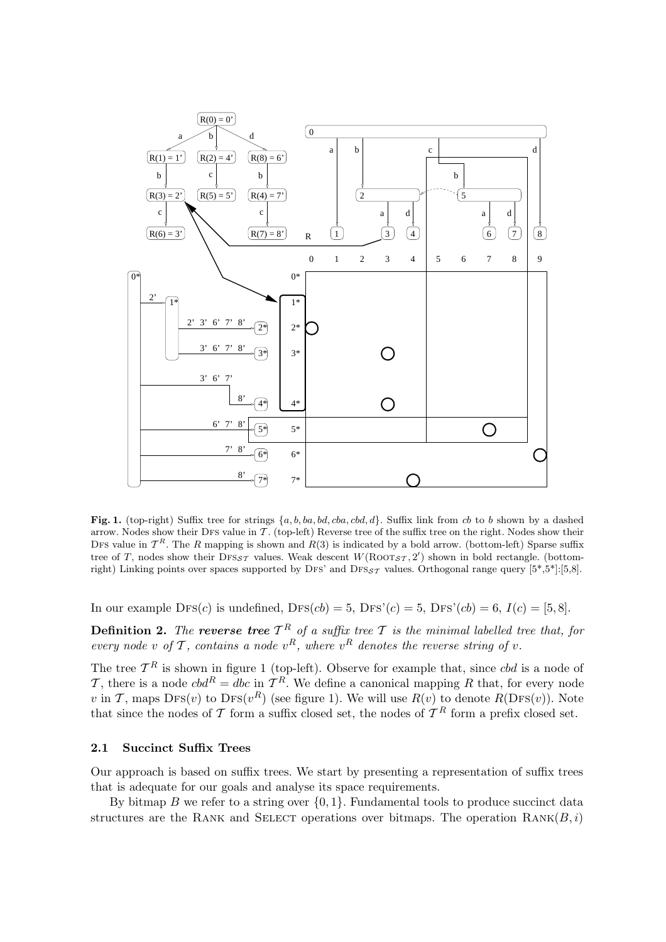

Fig. 1. (top-right) Suffix tree for strings  $\{a, b, ba, bd, cba, cbd, d\}$ . Suffix link from cb to b shown by a dashed arrow. Nodes show their DFS value in  $\mathcal T$ . (top-left) Reverse tree of the suffix tree on the right. Nodes show their DFS value in  $\mathcal{T}^R$ . The R mapping is shown and  $R(3)$  is indicated by a bold arrow. (bottom-left) Sparse suffix tree of T, nodes show their  $\overline{DFSs_{T}}$  values. Weak descent  $W(\overline{ROOTs_{T}, 2'})$  shown in bold rectangle. (bottomright) Linking points over spaces supported by DFS' and DFS $s\tau$  values. Orthogonal range query [5\*,5\*]:[5,8].

In our example  $DFS(c)$  is undefined,  $DFS(cb) = 5$ ,  $DFS'(c) = 5$ ,  $DFS'(cb) = 6$ ,  $I(c) = [5, 8]$ .

**Definition 2.** The reverse tree  $T^R$  of a suffix tree T is the minimal labelled tree that, for every node v of T, contains a node  $v^R$ , where  $v^R$  denotes the reverse string of v.

The tree  $\mathcal{T}^R$  is shown in figure 1 (top-left). Observe for example that, since cbd is a node of T, there is a node  $cbd^R = dbc$  in  $\mathcal{T}^R$ . We define a canonical mapping R that, for every node v in T, maps  $\text{DFS}(v)$  to  $\text{DFS}(v^R)$  (see figure 1). We will use  $R(v)$  to denote  $R(\text{DFS}(v))$ . Note that since the nodes of  $\mathcal T$  form a suffix closed set, the nodes of  $\mathcal T^R$  form a prefix closed set.

### 2.1 Succinct Suffix Trees

Our approach is based on suffix trees. We start by presenting a representation of suffix trees that is adequate for our goals and analyse its space requirements.

By bitmap B we refer to a string over  $\{0, 1\}$ . Fundamental tools to produce succinct data structures are the RANK and SELECT operations over bitmaps. The operation  $\text{RANK}(B,i)$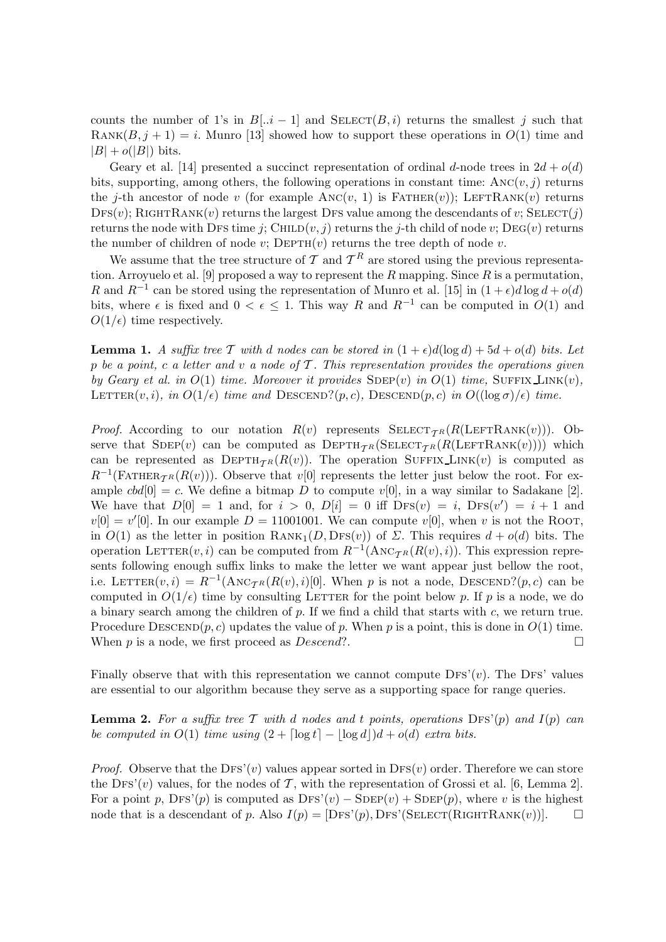counts the number of 1's in  $B[..i - 1]$  and SELECT $(B, i)$  returns the smallest j such that RANK $(B, j + 1) = i$ . Munro [13] showed how to support these operations in  $O(1)$  time and  $|B| + o(|B|)$  bits.

Geary et al. [14] presented a succinct representation of ordinal d-node trees in  $2d + o(d)$ bits, supporting, among others, the following operations in constant time:  $\text{ANC}(v, j)$  returns the j-th ancestor of node v (for example  $\text{ANC}(v, 1)$  is  $\text{FATHER}(v)$ ); LEFTRANK(v) returns  $DFS(v)$ ; RIGHTRANK(v) returns the largest DFS value among the descendants of v; SELECT(j) returns the node with DFs time j; CHILD $(v, j)$  returns the j-th child of node v; DEG(v) returns the number of children of node v;  $DEF H(v)$  returns the tree depth of node v.

We assume that the tree structure of T and  $T<sup>R</sup>$  are stored using the previous representation. Arroyuelo et al. [9] proposed a way to represent the R mapping. Since R is a permutation, R and  $R^{-1}$  can be stored using the representation of Munro et al. [15] in  $(1 + \epsilon)d\log d + o(d)$ bits, where  $\epsilon$  is fixed and  $0 < \epsilon \leq 1$ . This way R and  $R^{-1}$  can be computed in  $O(1)$  and  $O(1/\epsilon)$  time respectively.

**Lemma 1.** A suffix tree T with d nodes can be stored in  $(1 + \epsilon)d(\log d) + 5d + o(d)$  bits. Let p be a point, c a letter and v a node of  $\mathcal T$ . This representation provides the operations given by Geary et al. in  $O(1)$  time. Moreover it provides  $SDEP(v)$  in  $O(1)$  time, SUFFIX LINK(v), LETTER $(v, i)$ , in  $O(1/\epsilon)$  time and DESCEND? $(p, c)$ , DESCEND $(p, c)$  in  $O((\log \sigma)/\epsilon)$  time.

*Proof.* According to our notation  $R(v)$  represents  $\text{SELECT}_{\mathcal{T}^R}(R(\text{LEFTRank}(v)))$ . Observe that  $SDEF(v)$  can be computed as  $DEFiH_{TR}(SELECT_{TR}(R(LEFTRANK(v))))$  which can be represented as  $DEFIN_{TR}(R(v))$ . The operation SUFFIX LINK(v) is computed as  $R^{-1}(\text{FATHER}_{\mathcal{I}R}(R(v)))$ . Observe that v[0] represents the letter just below the root. For example  $\text{cbd}[0] = c$ . We define a bitmap D to compute  $v[0]$ , in a way similar to Sadakane [2]. We have that  $D[0] = 1$  and, for  $i > 0$ ,  $D[i] = 0$  iff  $DFS(v) = i$ ,  $DFS(v') = i + 1$  and  $v[0] = v'[0]$ . In our example  $D = 11001001$ . We can compute  $v[0]$ , when v is not the ROOT, in  $O(1)$  as the letter in position  $\text{RANK}_1(D, \text{DFS}(v))$  of  $\Sigma$ . This requires  $d + o(d)$  bits. The operation LETTER $(v, i)$  can be computed from  $R^{-1}(\text{ANC}_{\mathcal{T}^R}(R(v), i))$ . This expression represents following enough suffix links to make the letter we want appear just bellow the root, i.e. LETTER $(v, i) = R^{-1}(\text{ANC}_{\mathcal{T}^R}(R(v), i)[0]$ . When p is not a node, DESCEND? $(p, c)$  can be computed in  $O(1/\epsilon)$  time by consulting LETTER for the point below p. If p is a node, we do a binary search among the children of  $p$ . If we find a child that starts with  $c$ , we return true. Procedure DESCEND $(p, c)$  updates the value of p. When p is a point, this is done in  $O(1)$  time. When  $p$  is a node, we first proceed as  $Descend$ ?.

Finally observe that with this representation we cannot compute  $DFS'(v)$ . The DFS' values are essential to our algorithm because they serve as a supporting space for range queries.

**Lemma 2.** For a suffix tree T with d nodes and t points, operations  $\text{DFS}'(p)$  and  $I(p)$  can be computed in  $O(1)$  time using  $(2 + \lceil \log t \rceil - \lceil \log d \rceil)d + o(d)$  extra bits.

*Proof.* Observe that the DFS'(v) values appear sorted in DFS(v) order. Therefore we can store the DFs'(v) values, for the nodes of T, with the representation of Grossi et al. [6, Lemma 2]. For a point p, DFS'(p) is computed as DFS'(v) – SDEP(v) + SDEP(p), where v is the highest node that is a descendant of p. Also  $I(p) = [DFS'(p), DFS'(SELECT(RIGHTRANK(v))].$  □ node that is a descendant of p. Also  $I(p) = [DFS'(p), DFS'(SELECT(RIGHTRANK(v))].$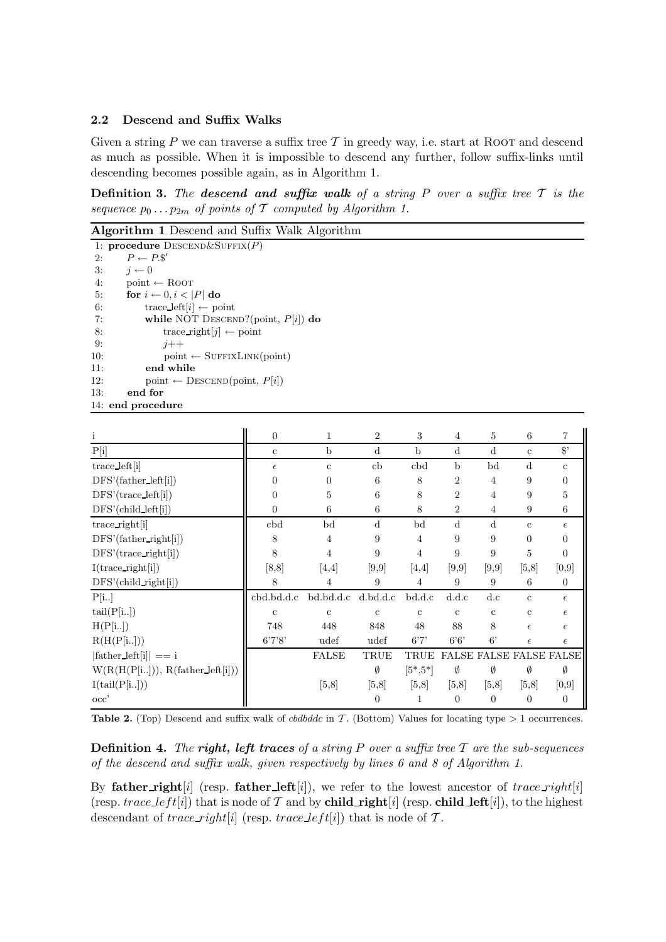## 2.2 Descend and Suffix Walks

Given a string P we can traverse a suffix tree  $\mathcal T$  in greedy way, i.e. start at ROOT and descend as much as possible. When it is impossible to descend any further, follow suffix-links until descending becomes possible again, as in Algorithm 1.

**Definition 3.** The descend and suffix walk of a string P over a suffix tree  $T$  is the sequence  $p_0 \ldots p_{2m}$  of points of T computed by Algorithm 1.

| <b>Algorithm 1</b> Descend and Suffix Walk Algorithm |
|------------------------------------------------------|
| 1: procedure $D$ ESCEND&SUFFIX $(P)$                 |
| $P \leftarrow P.\$'$<br>2:                           |
| 3:<br>$i \leftarrow 0$                               |
| 4:<br>$point \leftarrow$ ROOT                        |
| for $i \leftarrow 0, i <  P $ do<br>5:               |
| trace left $ i  \leftarrow$ point<br>6:              |
| while NOT DESCEND?(point, $P[i]$ ) do<br>7:          |
| trace right $[i] \leftarrow$ point<br>8:             |
| 9:<br>$i++$                                          |
| 10:<br>$point \leftarrow$ SUFFIXLINK(point)          |
| end while<br>11:                                     |
| 12:<br>$point \leftarrow$ DESCEND(point, $P[i]$ )    |
| end for<br>13:                                       |
| 14: end procedure                                    |

| i                                     | $\overline{0}$ | 1                | $\overline{2}$ | 3              | $\overline{4}$ | 5              | 6            | 7                              |
|---------------------------------------|----------------|------------------|----------------|----------------|----------------|----------------|--------------|--------------------------------|
| P[i]                                  | $\mathbf c$    | $\mathbf b$      | d              | $\mathbf b$    | $\mathbf d$    | d              | $\mathbf{c}$ | $\mathcal{S}$                  |
|                                       |                |                  | cb             | cbd            | $\mathbf b$    | $_{\rm bd}$    | $\mathbf d$  |                                |
| trace_left[i]                         | $\epsilon$     | $\mathbf{c}$     |                |                |                |                |              | $\mathbf{c}$                   |
| $DFS'(father{\text - left}[i])$       | 0              | $\boldsymbol{0}$ | 6              | 8              | $\overline{2}$ | $\overline{4}$ | 9            | $\overline{0}$                 |
| DFS'(trace <sub>left</sub> [i])       | $\Omega$       | 5                | 6              | 8              | $\overline{2}$ | $\overline{4}$ | 9            | 5                              |
| $DFS'(child\nleft[i\right])$          | $\Omega$       | 6                | 6              | 8              | $\overline{2}$ | $\overline{4}$ | 9            | 6                              |
| $trace\_right[i]$                     | cbd            | $_{\rm bd}$      | $\mathbf d$    | bd             | $\mathbf d$    | d              | $\mathbf{c}$ | $\epsilon$                     |
| $DFS'(father\_right[i])$              | 8              | $\overline{4}$   | 9              | 4              | 9              | 9              | $\theta$     | $\overline{0}$                 |
| $DFS'(trace\_right[i])$               | 8              | $\overline{4}$   | 9              | $\overline{4}$ | 9              | 9              | 5            | $\Omega$                       |
| $I(\text{trace\_right}[i])$           | [8,8]          | [4,4]            | [9,9]          | [4,4]          | [9,9]          | [9,9]          | [5,8]        | [0,9]                          |
| DFS'(child_right[i])                  | 8              | 4                | 9              | $\overline{4}$ | 9              | 9              | 6            | $\overline{0}$                 |
| P[i.]                                 | cbd.bd.d.c     | bd. bd. dc       | d.bd.d.c       | bd.d.c         | d.d.c          | d.c            | $\mathbf{c}$ | $\epsilon$                     |
| tail(P[i])                            | $\mathbf{c}$   | $\mathbf{c}$     | $\mathbf{c}$   | $\mathbf{c}$   | $\mathbf{c}$   | $\mathbf{c}$   | $\mathbf{c}$ | $\epsilon$                     |
| H(P[i])                               | 748            | 448              | 848            | 48             | 88             | 8              | $\epsilon$   | $\epsilon$                     |
| R(H(P[i]))                            | 6'7'8'         | udef             | udef           | 6'7'           | 6'6'           | 6'             | $\epsilon$   | $\epsilon$                     |
| $ father{\text -left}} i   == i$      |                | <b>FALSE</b>     | TRUE           | TRUE           |                |                |              | <b>FALSE FALSE FALSE FALSE</b> |
| $W(R(H(P[i]))$ , $R(father left[i]))$ |                |                  | Ø              | $[5^*, 5^*]$   | Ø              | Ø              | Ø            | Ø                              |
| I(tail(P[i]))                         |                | [5,8]            | [5,8]          | [5,8]          | [5, 8]         | [5,8]          | [5, 8]       | [0,9]                          |
| $\mathrm{occ}^{\prime}$               |                |                  | $\Omega$       | 1              | $\overline{0}$ | $\theta$       | $\theta$     | $\overline{0}$                 |

**Table 2.** (Top) Descend and suffix walk of *cbdbddc* in  $T$ . (Bottom) Values for locating type  $> 1$  occurrences.

**Definition 4.** The **right, left traces** of a string P over a suffix tree  $T$  are the sub-sequences of the descend and suffix walk, given respectively by lines 6 and 8 of Algorithm 1.

By father right [i] (resp. father left [i]), we refer to the lowest ancestor of trace right [i] (resp. trace left[i]) that is node of T and by child right[i] (resp. child left[i]), to the highest descendant of trace\_right[i] (resp. trace\_left[i]) that is node of  $\mathcal{T}$ .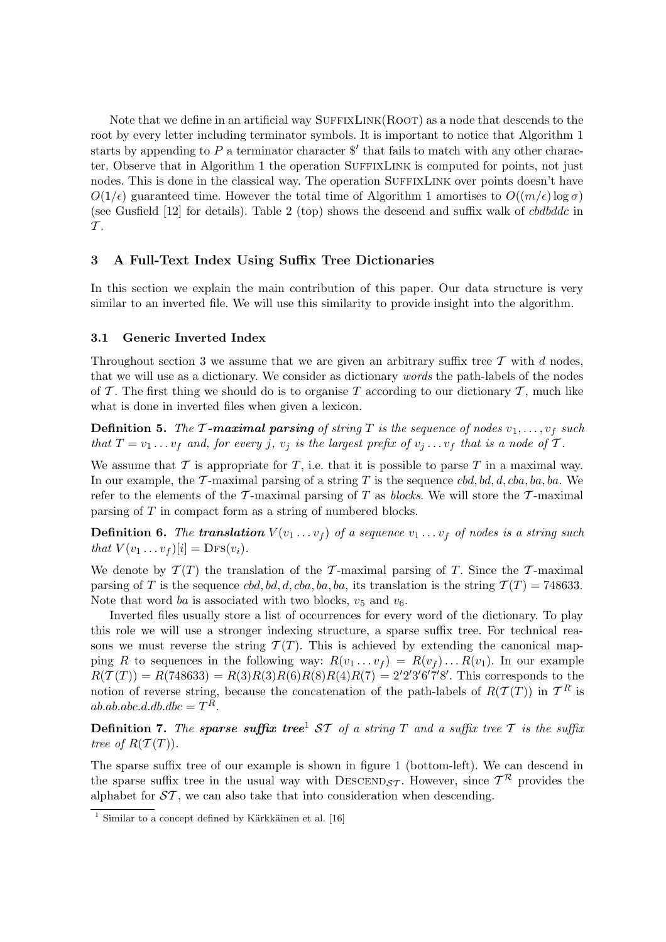Note that we define in an artificial way SUFFIXLINK(ROOT) as a node that descends to the root by every letter including terminator symbols. It is important to notice that Algorithm 1 starts by appending to  $P$  a terminator character  $\mathcal{S}'$  that fails to match with any other character. Observe that in Algorithm 1 the operation SuffixLink is computed for points, not just nodes. This is done in the classical way. The operation SUFFIXLINK over points doesn't have  $O(1/\epsilon)$  guaranteed time. However the total time of Algorithm 1 amortises to  $O((m/\epsilon) \log \sigma)$ (see Gusfield [12] for details). Table 2 (top) shows the descend and suffix walk of cbdbddc in  $\mathcal T$ .

## 3 A Full-Text Index Using Suffix Tree Dictionaries

In this section we explain the main contribution of this paper. Our data structure is very similar to an inverted file. We will use this similarity to provide insight into the algorithm.

### 3.1 Generic Inverted Index

Throughout section 3 we assume that we are given an arbitrary suffix tree  $\mathcal T$  with d nodes, that we will use as a dictionary. We consider as dictionary words the path-labels of the nodes of T. The first thing we should do is to organise T according to our dictionary T, much like what is done in inverted files when given a lexicon.

**Definition 5.** The T-maximal parsing of string T is the sequence of nodes  $v_1, \ldots, v_f$  such that  $T = v_1 \ldots v_f$  and, for every j,  $v_j$  is the largest prefix of  $v_j \ldots v_f$  that is a node of  $\mathcal T$ .

We assume that  $\mathcal T$  is appropriate for  $T$ , i.e. that it is possible to parse  $T$  in a maximal way. In our example, the T-maximal parsing of a string T is the sequence  $\textit{cbd}, \textit{bd}, \textit{d}, \textit{cba}, \textit{ba}, \textit{ba}$ . We refer to the elements of the  $\mathcal{T}\text{-maximal parsing}$  of T as blocks. We will store the  $\mathcal{T}\text{-maximal}$ parsing of T in compact form as a string of numbered blocks.

**Definition 6.** The **translation**  $V(v_1 \ldots v_f)$  of a sequence  $v_1 \ldots v_f$  of nodes is a string such that  $V(v_1 \dots v_f)[i] = \text{DFS}(v_i)$ .

We denote by  $\mathcal{T}(T)$  the translation of the T-maximal parsing of T. Since the T-maximal parsing of T is the sequence cbd, bd, d, cba, ba, ba, its translation is the string  $\mathcal{T}(T) = 748633$ . Note that word ba is associated with two blocks,  $v_5$  and  $v_6$ .

Inverted files usually store a list of occurrences for every word of the dictionary. To play this role we will use a stronger indexing structure, a sparse suffix tree. For technical reasons we must reverse the string  $\mathcal{T}(T)$ . This is achieved by extending the canonical mapping R to sequences in the following way:  $R(v_1 \ldots v_f) = R(v_f) \ldots R(v_1)$ . In our example  $R(\mathcal{T}(T)) = R(748633) = R(3)R(3)R(6)R(8)R(4)R(7) = 2'2'3'6'7'8'.$  This corresponds to the notion of reverse string, because the concatenation of the path-labels of  $R(\mathcal{T}(T))$  in  $\mathcal{T}^R$  is  $ab.ab.abc.d.db.dbc = T<sup>R</sup>$ .

**Definition 7.** The **sparse suffix tree**<sup>1</sup> ST of a string T and a suffix tree T is the suffix tree of  $R(T(T))$ .

The sparse suffix tree of our example is shown in figure 1 (bottom-left). We can descend in the sparse suffix tree in the usual way with  $\text{DESCEND}_{ST}$ . However, since  $T^{\mathcal{R}}$  provides the alphabet for  $ST$ , we can also take that into consideration when descending.

 $\frac{1}{1}$  Similar to a concept defined by Kärkkäinen et al. [16]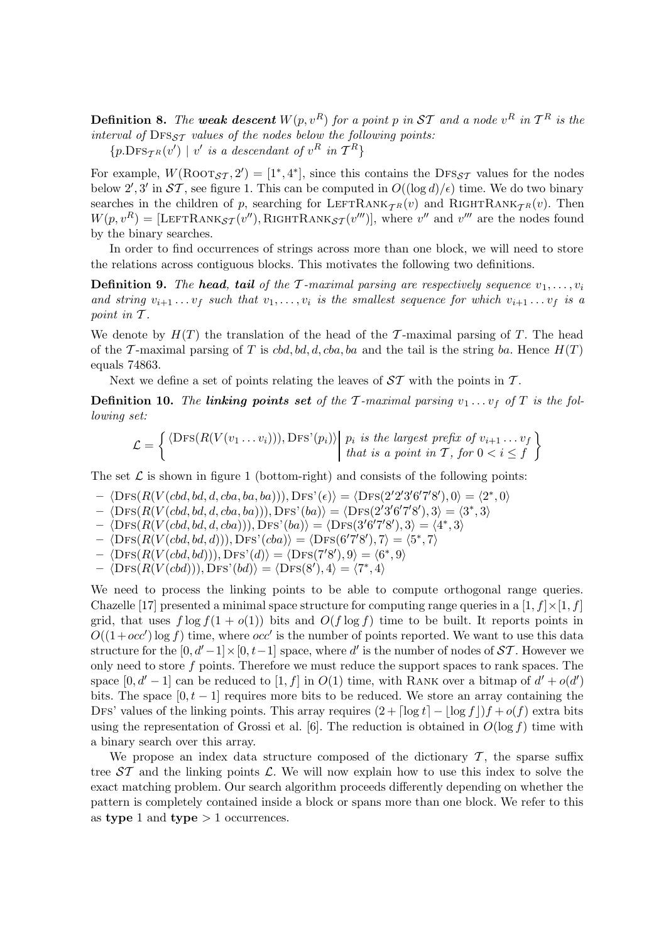**Definition 8.** The weak descent  $W(p, v^R)$  for a point p in ST and a node  $v^R$  in  $T^R$  is the interval of  $DFS_{ST}$  values of the nodes below the following points:

 ${p.\text{DFS}_{\mathcal{T}^R}(v') \mid v' \text{ is a descendant of } v^R \text{ in } \mathcal{T}^R}$ 

For example,  $W(\text{ROT}_{ST}, 2') = [1^*, 4^*]$ , since this contains the DFS $_{ST}$  values for the nodes below 2', 3' in  $ST$ , see figure 1. This can be computed in  $O((\log d)/\epsilon)$  time. We do two binary searches in the children of p, searching for LEFTRANK<sub>TR</sub> $(v)$  and RIGHTRANK<sub>TR</sub> $(v)$ . Then  $W(p, v^R) = [\text{LEFTRANK}_{ST}(v''), \text{RIGHTRANK}_{ST}(v''')],$  where  $v''$  and  $v'''$  are the nodes found by the binary searches.

In order to find occurrences of strings across more than one block, we will need to store the relations across contiguous blocks. This motivates the following two definitions.

**Definition 9.** The head, tail of the T-maximal parsing are respectively sequence  $v_1, \ldots, v_i$ and string  $v_{i+1} \ldots v_f$  such that  $v_1, \ldots, v_i$  is the smallest sequence for which  $v_{i+1} \ldots v_f$  is a point in T .

We denote by  $H(T)$  the translation of the head of the T-maximal parsing of T. The head of the T-maximal parsing of T is cbd, bd, d, cba, ba and the tail is the string ba. Hence  $H(T)$ equals 74863.

Next we define a set of points relating the leaves of  $ST$  with the points in T.

**Definition 10.** The linking points set of the T-maximal parsing  $v_1 \ldots v_f$  of T is the following set:

$$
\mathcal{L} = \left\{ \left. \begin{array}{c} \langle \text{DFS}(R(V(v_1 \dots v_i))), \text{DFS}(p_i) \rangle \middle| \ p_i \text{ is the largest prefix of } v_{i+1} \dots v_f \\ \text{that is a point in } T, \text{ for } 0 < i \leq f \end{array} \right\}
$$

The set  $\mathcal L$  is shown in figure 1 (bottom-right) and consists of the following points:

- $-\langle \text{DFS}(R(V(cbd, bd, d, cba, ba, ba))), \text{DFS}'(\epsilon) \rangle = \langle \text{DFS}(2'2'3'6'7'8'), 0 \rangle = \langle 2^*, 0 \rangle$
- $-\langle \text{DFS}(R(V(cbd, bd, d, cba, ba))), \text{DFS}'(ba)\rangle = \langle \text{DFS}(2'3'6'7'8'), 3\rangle = \langle 3^*, 3\rangle$
- $-\langle \mathrm{DFS}(R(V(cbd, bd, d, cba))), \mathrm{DFS}'(ba)\rangle = \langle \mathrm{DFS}(3'6'7'8'), 3\rangle = \langle 4^*, 3\rangle$
- $\langle \text{DFS}(R(V(cbd, bd, d))), \text{DFS'}(cba) \rangle = \langle \text{DFS}(6'7'8'), 7 \rangle = \langle 5^*, 7 \rangle$
- $\langle \text{DFS}(R(V(cbd, bd))), \text{DFS}'(d) \rangle = \langle \text{DFS}(7'8'), 9 \rangle = \langle 6^*, 9 \rangle$
- $\langle \text{DFS}(R(V(cbd))), \text{DFS}'(bd) \rangle = \langle \text{DFS}(8'), 4 \rangle = \langle 7^*, 4 \rangle$

We need to process the linking points to be able to compute orthogonal range queries. Chazelle [17] presented a minimal space structure for computing range queries in a [1,  $f$ ]  $\times$  [1, f] grid, that uses  $f \log f(1 + o(1))$  bits and  $O(f \log f)$  time to be built. It reports points in  $O((1+occ')\log f)$  time, where  $occ'$  is the number of points reported. We want to use this data structure for the  $[0, d' - 1] \times [0, t - 1]$  space, where d' is the number of nodes of  $ST$ . However we only need to store  $f$  points. Therefore we must reduce the support spaces to rank spaces. The space  $[0, d' - 1]$  can be reduced to  $[1, f]$  in  $O(1)$  time, with RANK over a bitmap of  $d' + o(d')$ bits. The space  $[0, t-1]$  requires more bits to be reduced. We store an array containing the DFS' values of the linking points. This array requires  $(2+\lceil \log t \rceil - \lfloor \log f \rfloor)f + o(f)$  extra bits using the representation of Grossi et al. [6]. The reduction is obtained in  $O(\log f)$  time with a binary search over this array.

We propose an index data structure composed of the dictionary  $\mathcal{T}$ , the sparse suffix tree  $ST$  and the linking points L. We will now explain how to use this index to solve the exact matching problem. Our search algorithm proceeds differently depending on whether the pattern is completely contained inside a block or spans more than one block. We refer to this as type 1 and type  $> 1$  occurrences.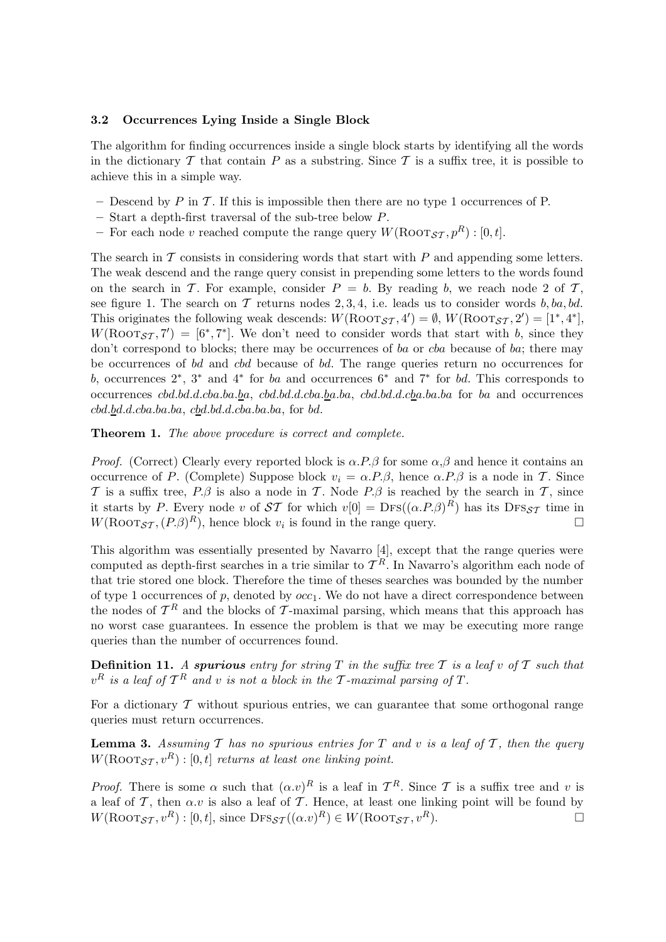## 3.2 Occurrences Lying Inside a Single Block

The algorithm for finding occurrences inside a single block starts by identifying all the words in the dictionary  $\mathcal T$  that contain  $P$  as a substring. Since  $\mathcal T$  is a suffix tree, it is possible to achieve this in a simple way.

- Descend by P in T. If this is impossible then there are no type 1 occurrences of P.
- $-$  Start a depth-first traversal of the sub-tree below  $P$ .
- For each node v reached compute the range query  $W(\text{Root}_{ST}, p^R) : [0, t]$ .

The search in  $\mathcal T$  consists in considering words that start with  $P$  and appending some letters. The weak descend and the range query consist in prepending some letters to the words found on the search in T. For example, consider  $P = b$ . By reading b, we reach node 2 of T, see figure 1. The search on  $\mathcal T$  returns nodes 2, 3, 4, i.e. leads us to consider words b, ba, bd. This originates the following weak descends:  $W(\text{Root}_{ST}, 4') = \emptyset$ ,  $W(\text{Root}_{ST}, 2') = [1^*, 4^*]$ ,  $W(\text{Roor}_{ST},7') = [6^*,7^*]$ . We don't need to consider words that start with b, since they don't correspond to blocks; there may be occurrences of ba or cba because of ba; there may be occurrences of bd and cbd because of bd. The range queries return no occurrences for b, occurrences  $2^*$ ,  $3^*$  and  $4^*$  for ba and occurrences  $6^*$  and  $7^*$  for bd. This corresponds to occurrences  $\text{c}bd.d.cba.ba.ba$ ,  $\text{c}bd.d.cba.ba.ba$ ,  $\text{c}bd.d.cba.ba.ba$  for ba and occurrences cbd.bd.d.cba.ba.ba, cbd.bd.d.cba.ba.ba, for bd.

Theorem 1. The above procedure is correct and complete.

*Proof.* (Correct) Clearly every reported block is  $\alpha.P.\beta$  for some  $\alpha.\beta$  and hence it contains an occurrence of P. (Complete) Suppose block  $v_i = \alpha P \beta$ , hence  $\alpha P \beta$  is a node in T. Since T is a suffix tree,  $P.\beta$  is also a node in T. Node  $P.\beta$  is reached by the search in T, since it starts by P. Every node v of  $ST$  for which  $v[0] = \text{DFS}((\alpha.P.\beta)^R)$  has its  $\text{DFS}_{ST}$  time in  $W(\text{Room}_{ST}, (P.\beta)^R)$ , hence block  $v_i$  is found in the range query.

This algorithm was essentially presented by Navarro [4], except that the range queries were computed as depth-first searches in a trie similar to  $\mathcal{T}^R$ . In Navarro's algorithm each node of that trie stored one block. Therefore the time of theses searches was bounded by the number of type 1 occurrences of p, denoted by  $occ_1$ . We do not have a direct correspondence between the nodes of  $\mathcal{T}^R$  and the blocks of T-maximal parsing, which means that this approach has no worst case guarantees. In essence the problem is that we may be executing more range queries than the number of occurrences found.

**Definition 11.** A spurious entry for string T in the suffix tree T is a leaf v of T such that  $v^R$  is a leaf of  $\mathcal{T}^R$  and v is not a block in the  $\mathcal{T}$ -maximal parsing of  $T.$ 

For a dictionary  $\mathcal T$  without spurious entries, we can guarantee that some orthogonal range queries must return occurrences.

**Lemma 3.** Assuming  $\mathcal T$  has no spurious entries for  $T$  and  $v$  is a leaf of  $\mathcal T$ , then the query  $W(\text{ROOT}_{ST}, v^R): [0, t]$  returns at least one linking point.

*Proof.* There is some  $\alpha$  such that  $(\alpha v)^R$  is a leaf in  $\mathcal{T}^R$ . Since  $\mathcal{T}$  is a suffix tree and v is a leaf of T, then  $\alpha.v$  is also a leaf of T. Hence, at least one linking point will be found by  $W(\text{ROT}_{ST} v^R) \cdot [0, t]$  since  $\text{DFS}_{ST}((\alpha v)^R) \in W(\text{ROT}_{ST} v^R)$  $W(\text{Root}_{ST}, v^R) : [0, t], \text{ since } \text{DFS}_{ST}((\alpha.v)^R) \in W(\text{Root}_{ST}, v)$  $R$ ).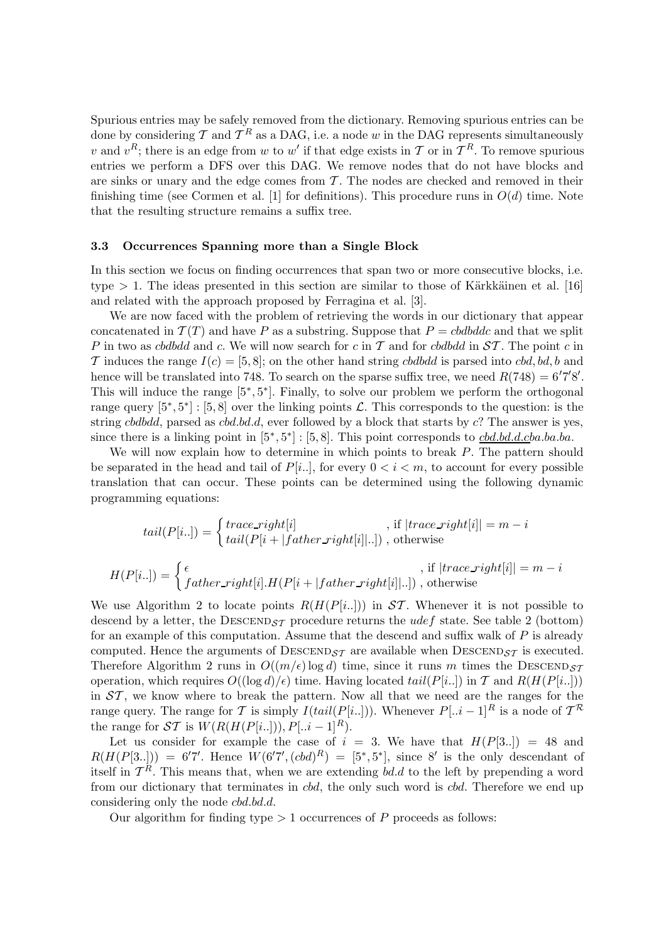Spurious entries may be safely removed from the dictionary. Removing spurious entries can be done by considering  $\mathcal{T}$  and  $\mathcal{T}^R$  as a DAG, i.e. a node w in the DAG represents simultaneously v and  $v^R$ ; there is an edge from w to w' if that edge exists in T or in  $\mathcal{T}^R$ . To remove spurious entries we perform a DFS over this DAG. We remove nodes that do not have blocks and are sinks or unary and the edge comes from  $\mathcal T$ . The nodes are checked and removed in their finishing time (see Cormen et al. [1] for definitions). This procedure runs in  $O(d)$  time. Note that the resulting structure remains a suffix tree.

#### 3.3 Occurrences Spanning more than a Single Block

In this section we focus on finding occurrences that span two or more consecutive blocks, i.e. type  $> 1$ . The ideas presented in this section are similar to those of Kärkkäinen et al. [16] and related with the approach proposed by Ferragina et al. [3].

We are now faced with the problem of retrieving the words in our dictionary that appear concatenated in  $\mathcal{T}(T)$  and have P as a substring. Suppose that  $P = cbdbdc$  and that we split P in two as codbdd and c. We will now search for c in T and for codbdd in  $ST$ . The point c in T induces the range  $I(c) = [5, 8]$ ; on the other hand string codbodd is parsed into cod, bd, b and hence will be translated into 748. To search on the sparse suffix tree, we need  $R(748) = 6'7'8'$ . This will induce the range  $[5^*, 5^*]$ . Finally, to solve our problem we perform the orthogonal range query  $[5^*, 5^*] : [5, 8]$  over the linking points  $\mathcal{L}$ . This corresponds to the question: is the string cbdbdd, parsed as cbd.bd.d, ever followed by a block that starts by  $c$ ? The answer is yes, since there is a linking point in  $[5^*, 5^*] : [5, 8]$ . This point corresponds to  $\underline{cbd.d.d.c}ba.ba.ba$ .

We will now explain how to determine in which points to break P. The pattern should be separated in the head and tail of  $P[i...]$ , for every  $0 < i < m$ , to account for every possible translation that can occur. These points can be determined using the following dynamic programming equations:

$$
tail(P[i..]) = \begin{cases} trace\_right[i] & , \text{ if } |trace\_right[i]| = m - i \\ tail(P[i + |father\_right[i]...]) & , \text{ otherwise} \end{cases}
$$

$$
H(P[i..]) = \begin{cases} \epsilon & , \text{ if } |trace\_right[i]| = m - i \\ father\_right[i].H(P[i + |father\_right[i]...]) & , \text{ otherwise} \end{cases}
$$

We use Algorithm 2 to locate points  $R(H(P[i..]))$  in  $ST$ . Whenever it is not possible to descend by a letter, the DESCEND<sub>ST</sub> procedure returns the *udef* state. See table 2 (bottom) for an example of this computation. Assume that the descend and suffix walk of P is already computed. Hence the arguments of  $\text{DescEND}_{ST}$  are available when  $\text{DescEND}_{ST}$  is executed. Therefore Algorithm 2 runs in  $O((m/\epsilon) \log d)$  time, since it runs m times the DESCEND $_{ST}$ operation, which requires  $O((\log d)/\epsilon)$  time. Having located tail( $P[i, .]$ ) in T and  $R(H(P[i, .]))$ in  $ST$ , we know where to break the pattern. Now all that we need are the ranges for the range query. The range for T is simply  $I(tail(P[i..]))$ . Whenever  $P[..i-1]^R$  is a node of  $T^R$ the range for  $ST$  is  $W(R(H(P[i..]))$ ,  $P[..i-1]^R$ .

Let us consider for example the case of  $i = 3$ . We have that  $H(P[3..]) = 48$  and  $R(H(P[3..])) = 6'7'$ . Hence  $W(6'7', (cbd)^R) = [5^*, 5^*]$ , since 8' is the only descendant of itself in  $\mathcal{T}^R$ . This means that, when we are extending bd.d to the left by prepending a word from our dictionary that terminates in cbd, the only such word is cbd. Therefore we end up considering only the node cbd.bd.d.

Our algorithm for finding type  $> 1$  occurrences of P proceeds as follows: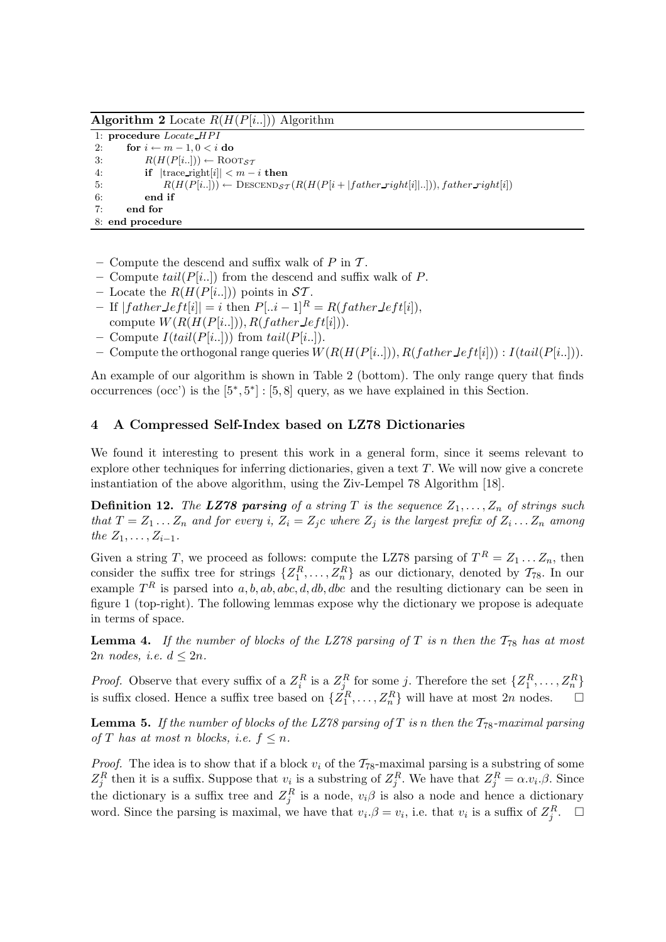Algorithm 2 Locate  $R(H(P[i..]))$  Algorithm

1: procedure Locate HPI 2: for  $i \leftarrow m - 1, 0 \lt i$  do 3:  $R(H(P[i..])) \leftarrow \text{Roots}_{\mathcal{T}}$ 4: if  $|\text{trace right}[i]| < m - i \text{ then}$ 5:  $R(H(P[i..])) \leftarrow \text{DESCEND}_{\mathcal{ST}}(R(H(P[i + |father\_right[i]...]))$ , father right[i]). 6: end if 7: end for 8: end procedure

– Compute the descend and suffix walk of  $P$  in  $\mathcal{T}$ .

– Compute  $tail(P[i..])$  from the descend and suffix walk of P.

- Locate the  $R(H(P[i..]))$  points in  $ST$ .
- If  $|father \, left[i]| = i$  then  $P[..i-1]^R = R(father \, left[i]),$
- compute  $W(R(H(P[i..]))$ ,  $R(father\_left[i])$ .
- Compute  $I(tail(P[i..]))$  from  $tail(P[i..])$ .
- Compute the orthogonal range queries  $W(R(H(P[i..]))$ ,  $R(father \; Left[i]))$  :  $I(tail(P[i..]))$ .

An example of our algorithm is shown in Table 2 (bottom). The only range query that finds occurrences (occ') is the  $[5^*, 5^*] : [5, 8]$  query, as we have explained in this Section.

## 4 A Compressed Self-Index based on LZ78 Dictionaries

We found it interesting to present this work in a general form, since it seems relevant to explore other techniques for inferring dictionaries, given a text  $T$ . We will now give a concrete instantiation of the above algorithm, using the Ziv-Lempel 78 Algorithm [18].

**Definition 12.** The LZ78 parsing of a string T is the sequence  $Z_1, \ldots, Z_n$  of strings such that  $T = Z_1 \dots Z_n$  and for every i,  $Z_i = Z_j c$  where  $Z_j$  is the largest prefix of  $Z_i \dots Z_n$  among the  $Z_1, \ldots, Z_{i-1}$ .

Given a string T, we proceed as follows: compute the LZ78 parsing of  $T^R = Z_1 \dots Z_n$ , then consider the suffix tree for strings  $\{Z_1^R, \ldots, Z_n^R\}$  as our dictionary, denoted by  $\mathcal{T}_{78}$ . In our example  $T^R$  is parsed into a, b, ab, abc, d, db, dbc and the resulting dictionary can be seen in figure 1 (top-right). The following lemmas expose why the dictionary we propose is adequate in terms of space.

**Lemma 4.** If the number of blocks of the LZ78 parsing of T is n then the  $T_{78}$  has at most 2n nodes, i.e.  $d \leq 2n$ .

*Proof.* Observe that every suffix of a  $Z_i^R$  is a  $Z_{j}^R$  for some j. Therefore the set  $\{Z_1^R, \ldots, Z_n^R\}$ is suffix closed. Hence a suffix tree based on  $\{Z_1^R, \ldots, Z_n^R\}$  will have at most  $2n$  nodes.  $\square$ 

**Lemma 5.** If the number of blocks of the LZ78 parsing of T is n then the  $T_{78}$ -maximal parsing of T has at most n blocks, i.e.  $f \leq n$ .

*Proof.* The idea is to show that if a block  $v_i$  of the  $\mathcal{T}_{78}$ -maximal parsing is a substring of some  $Z_j^R$  then it is a suffix. Suppose that  $v_i$  is a substring of  $Z_j^R$ . We have that  $Z_j^R = \alpha.v_i.\beta$ . Since the dictionary is a suffix tree and  $Z_j^R$  is a node,  $v_i\beta$  is also a node and hence a dictionary word. Since the parsing is maximal, we have that  $v_i \cdot \beta = v_i$ , i.e. that  $v_i$  is a suffix of  $Z_j^R$ .  $\Box$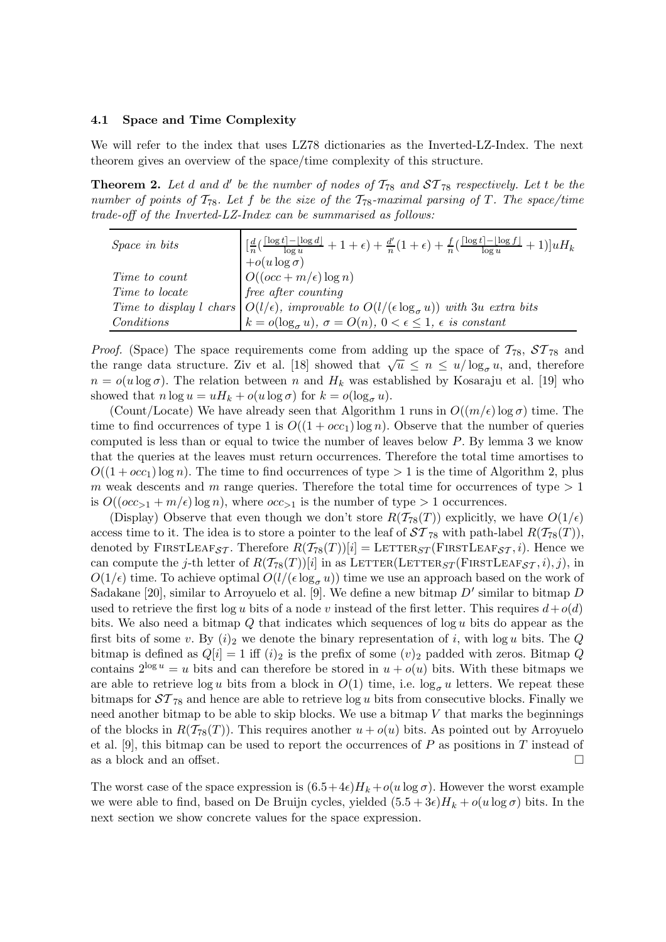## 4.1 Space and Time Complexity

We will refer to the index that uses LZ78 dictionaries as the Inverted-LZ-Index. The next theorem gives an overview of the space/time complexity of this structure.

**Theorem 2.** Let d and d' be the number of nodes of  $T_{78}$  and  $ST_{78}$  respectively. Let t be the number of points of  $T_{78}$ . Let f be the size of the  $T_{78}$ -maximal parsing of T. The space/time trade-off of the Inverted-LZ-Index can be summarised as follows:

| <i>Space</i> in bits  | $\left[\frac{d}{n}\left(\frac{\lceil \log t \rceil - \lfloor \log d \rfloor}{\log u} + 1 + \epsilon\right) + \frac{d'}{n}\left(1 + \epsilon\right) + \frac{f}{n}\left(\frac{\lceil \log t \rceil - \lfloor \log f \rfloor}{\log u} + 1\right)\right]uH_k$ |
|-----------------------|-----------------------------------------------------------------------------------------------------------------------------------------------------------------------------------------------------------------------------------------------------------|
|                       | $+o(u \log \sigma)$                                                                                                                                                                                                                                       |
| Time to count         | $O((occ + m/\epsilon) \log n)$                                                                                                                                                                                                                            |
| <i>Time to locate</i> | free after counting                                                                                                                                                                                                                                       |
|                       | Time to display l chars $O(l/\epsilon)$ , improvable to $O(l/(\epsilon \log_{\sigma} u))$ with 3u extra bits                                                                                                                                              |
| Conditions            | $k = o(\log_{\sigma} u), \sigma = O(n), 0 < \epsilon \leq 1, \epsilon \text{ is constant}$                                                                                                                                                                |

*Proof.* (Space) The space requirements come from adding up the space of  $\mathcal{T}_{78}$ ,  $\mathcal{ST}_{78}$  and the range data structure. Ziv et al. [18] showed that  $\sqrt{u} \leq n \leq u/\log_{\sigma} u$ , and, therefore  $n = o(u \log \sigma)$ . The relation between n and  $H_k$  was established by Kosaraju et al. [19] who showed that  $n \log u = uH_k + o(u \log \sigma)$  for  $k = o(\log_\sigma u)$ .

(Count/Locate) We have already seen that Algorithm 1 runs in  $O((m/\epsilon) \log \sigma)$  time. The time to find occurrences of type 1 is  $O((1 + occ_1) \log n)$ . Observe that the number of queries computed is less than or equal to twice the number of leaves below P. By lemma 3 we know that the queries at the leaves must return occurrences. Therefore the total time amortises to  $O((1 + occ_1) \log n)$ . The time to find occurrences of type  $> 1$  is the time of Algorithm 2, plus m weak descents and m range queries. Therefore the total time for occurrences of type  $> 1$ is  $O((occ_{>1} + m/\epsilon) \log n)$ , where  $occ_{>1}$  is the number of type  $> 1$  occurrences.

(Display) Observe that even though we don't store  $R(\mathcal{T}_{78}(T))$  explicitly, we have  $O(1/\epsilon)$ access time to it. The idea is to store a pointer to the leaf of  $ST_{78}$  with path-label  $R(\mathcal{T}_{78}(T))$ , denoted by FIRSTLEAF<sub>ST</sub>. Therefore  $R(\mathcal{T}_{78}(T))[i] = \text{LETTER}_{ST}(\text{FirstLeaf}_{ST}, i)$ . Hence we can compute the j-th letter of  $R(\mathcal{T}_{78}(T))[i]$  in as LETTER(LETTER<sub>ST</sub>(FIRSTLEAF<sub>ST</sub>, i), j), in  $O(1/\epsilon)$  time. To achieve optimal  $O(l/(\epsilon \log_{\sigma} u))$  time we use an approach based on the work of Sadakane [20], similar to Arroyuelo et al. [9]. We define a new bitmap  $D'$  similar to bitmap  $D$ used to retrieve the first log u bits of a node v instead of the first letter. This requires  $d + o(d)$ bits. We also need a bitmap  $Q$  that indicates which sequences of  $log u$  bits do appear as the first bits of some v. By  $(i)_2$  we denote the binary representation of i, with  $\log u$  bits. The Q bitmap is defined as  $Q[i] = 1$  iff  $(i)_2$  is the prefix of some  $(v)_2$  padded with zeros. Bitmap Q contains  $2^{\log u} = u$  bits and can therefore be stored in  $u + o(u)$  bits. With these bitmaps we are able to retrieve log u bits from a block in  $O(1)$  time, i.e.  $\log_{\sigma} u$  letters. We repeat these bitmaps for  $ST_{78}$  and hence are able to retrieve log u bits from consecutive blocks. Finally we need another bitmap to be able to skip blocks. We use a bitmap  $V$  that marks the beginnings of the blocks in  $R(\mathcal{T}_{78}(T))$ . This requires another  $u + o(u)$  bits. As pointed out by Arroyuelo et al. [9], this bitmap can be used to report the occurrences of  $P$  as positions in  $T$  instead of as a block and an offset.  $\Box$ 

The worst case of the space expression is  $(6.5+4\epsilon)H_k + o(u \log \sigma)$ . However the worst example we were able to find, based on De Bruijn cycles, yielded  $(5.5 + 3\epsilon)H_k + o(u \log \sigma)$  bits. In the next section we show concrete values for the space expression.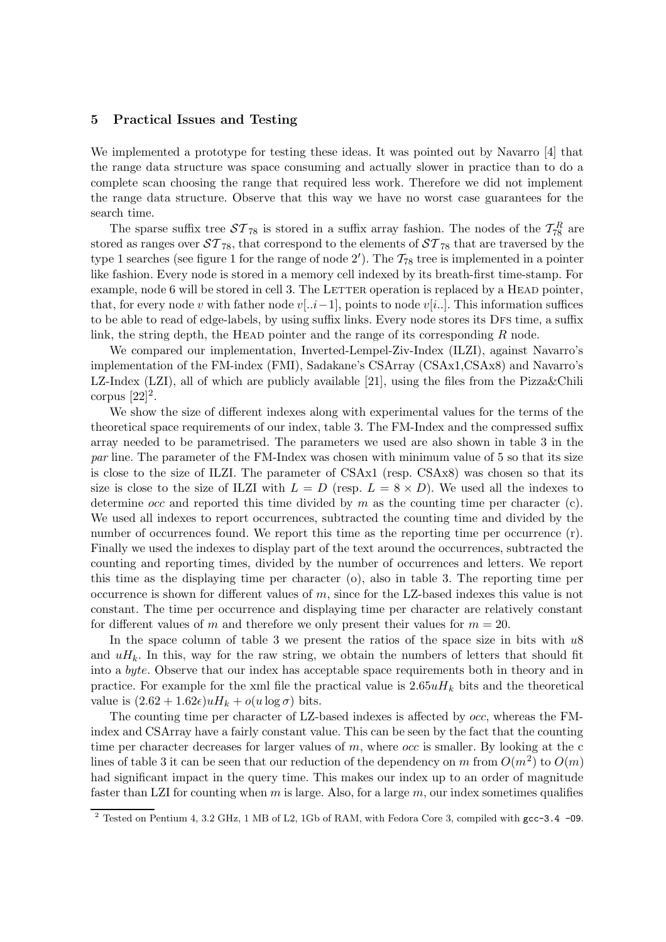### 5 Practical Issues and Testing

We implemented a prototype for testing these ideas. It was pointed out by Navarro [4] that the range data structure was space consuming and actually slower in practice than to do a complete scan choosing the range that required less work. Therefore we did not implement the range data structure. Observe that this way we have no worst case guarantees for the search time.

The sparse suffix tree  $ST_{78}$  is stored in a suffix array fashion. The nodes of the  $T_{78}^R$  are stored as ranges over  $ST_{78}$ , that correspond to the elements of  $ST_{78}$  that are traversed by the type 1 searches (see figure 1 for the range of node 2'). The  $\mathcal{T}_{78}$  tree is implemented in a pointer like fashion. Every node is stored in a memory cell indexed by its breath-first time-stamp. For example, node 6 will be stored in cell 3. The LETTER operation is replaced by a HEAD pointer, that, for every node v with father node  $v[i..i-1]$ , points to node  $v[i..]$ . This information suffices to be able to read of edge-labels, by using suffix links. Every node stores its DFS time, a suffix link, the string depth, the HEAD pointer and the range of its corresponding  $R$  node.

We compared our implementation, Inverted-Lempel-Ziv-Index (ILZI), against Navarro's implementation of the FM-index (FMI), Sadakane's CSArray (CSAx1,CSAx8) and Navarro's LZ-Index (LZI), all of which are publicly available [21], using the files from the Pizza&Chili corpus  $[22]^2$ .

We show the size of different indexes along with experimental values for the terms of the theoretical space requirements of our index, table 3. The FM-Index and the compressed suffix array needed to be parametrised. The parameters we used are also shown in table 3 in the par line. The parameter of the FM-Index was chosen with minimum value of 5 so that its size is close to the size of ILZI. The parameter of CSAx1 (resp. CSAx8) was chosen so that its size is close to the size of ILZI with  $L = D$  (resp.  $L = 8 \times D$ ). We used all the indexes to determine *occ* and reported this time divided by  $m$  as the counting time per character  $(c)$ . We used all indexes to report occurrences, subtracted the counting time and divided by the number of occurrences found. We report this time as the reporting time per occurrence  $(r)$ . Finally we used the indexes to display part of the text around the occurrences, subtracted the counting and reporting times, divided by the number of occurrences and letters. We report this time as the displaying time per character (o), also in table 3. The reporting time per occurrence is shown for different values of  $m$ , since for the LZ-based indexes this value is not constant. The time per occurrence and displaying time per character are relatively constant for different values of m and therefore we only present their values for  $m = 20$ .

In the space column of table 3 we present the ratios of the space size in bits with  $u8$ and  $uH_k$ . In this, way for the raw string, we obtain the numbers of letters that should fit into a byte. Observe that our index has acceptable space requirements both in theory and in practice. For example for the xml file the practical value is  $2.65uH_k$  bits and the theoretical value is  $(2.62 + 1.62\epsilon)uH_k + o(u \log \sigma)$  bits.

The counting time per character of LZ-based indexes is affected by occ, whereas the FMindex and CSArray have a fairly constant value. This can be seen by the fact that the counting time per character decreases for larger values of  $m$ , where  $occ$  is smaller. By looking at the c lines of table 3 it can be seen that our reduction of the dependency on m from  $O(m^2)$  to  $O(m)$ had significant impact in the query time. This makes our index up to an order of magnitude faster than LZI for counting when  $m$  is large. Also, for a large  $m$ , our index sometimes qualifies

<sup>&</sup>lt;sup>2</sup> Tested on Pentium 4, 3.2 GHz, 1 MB of L2, 1Gb of RAM, with Fedora Core 3, compiled with gcc-3.4 -09.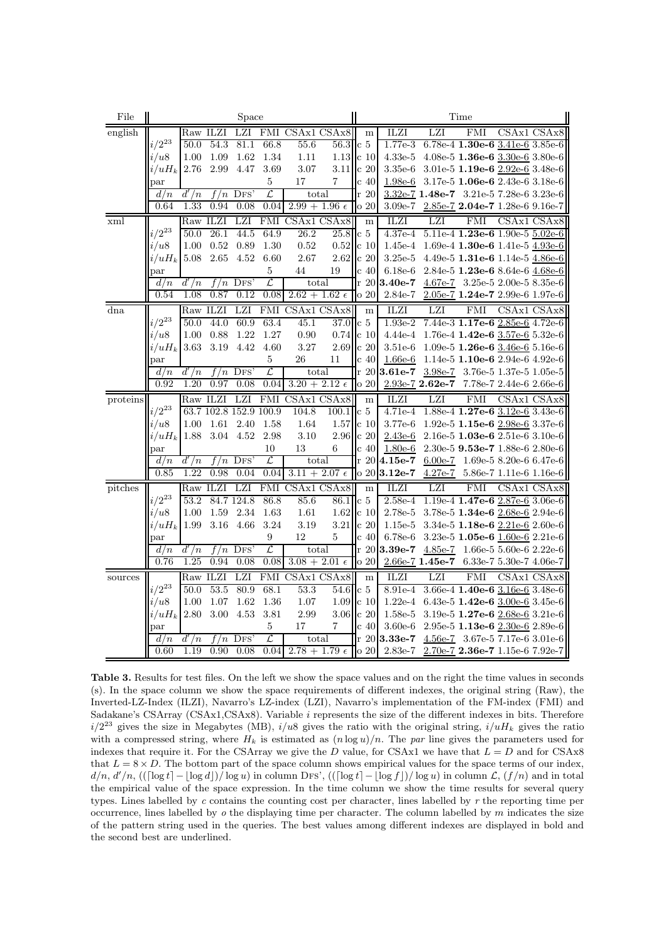| File            | Space            |                   |              |              |                          | Time                   |                              |                |                             |                                         |                                                                    |  |                           |
|-----------------|------------------|-------------------|--------------|--------------|--------------------------|------------------------|------------------------------|----------------|-----------------------------|-----------------------------------------|--------------------------------------------------------------------|--|---------------------------|
| english         |                  | Raw               | ILZI         | LZI          |                          | FMI CSAx1 CSAx8        |                              | m              | ILZI                        | LZI                                     | FMI                                                                |  | CSAx1 CSAx8               |
|                 | $i/2^{23}$       | 50.0              | 54.3         | 81.1         | 66.8                     | 55.6                   | $56.3$ c 5                   |                | $1.77e-3$                   |                                         | 6.78e-4 1.30e-6 3.41e-6 3.85e-6                                    |  |                           |
|                 | i/u8             | 1.00              | 1.09         | 1.62         | $1.34\,$                 | 1.11                   | $1.13$   c 10                |                | $4.33\mathrm{e}{\text{-}5}$ |                                         | 4.08e-5 1.36e-6 3.30e-6 3.80e-6                                    |  |                           |
|                 | $i/uH_k$         | 2.76              | 2.99         | 4.47         | $3.69\,$                 | 3.07                   | 3.11                         | $\rm c$ 20     | $3.35e-6$                   |                                         | 3.01e-5 1.19e-6 2.92e-6 3.48e-6                                    |  |                           |
|                 | par              |                   |              |              | 5                        | 17                     | 7                            | $\rm c$ 40     | $1.98e-6$                   |                                         | $3.17e-5$ 1.06e-6 2.43e-6 3.18e-6                                  |  |                           |
|                 | d/n              | $\overline{d}'/n$ | f/n          | DFS'         | $\mathcal{L}% _{G}$      | total                  |                              | r20            |                             | 3.32e-7 1.48e-7 3.21e-5 7.28e-6 3.23e-6 |                                                                    |  |                           |
|                 | 0.64             | 1.33              | 0.94         | 0.08         | 0.04                     | $2.99 + 1.96 \epsilon$ |                              | $\circ$ 20     | $3.09e-7$                   |                                         | 2.85e-7 2.04e-7 1.28e-6 9.16e-7                                    |  |                           |
| xml             |                  | Raw               | ILZI         | LZI          |                          | FMI CSAx1 CSAx8        |                              | m              | <b>ILZI</b>                 | LZI                                     | <b>FMI</b>                                                         |  | CSAx1 CSAx8               |
|                 | $i/2^{23}$       | 50.0              | 26.1         | 44.5         | 64.9                     | 26.2                   | 25.8                         | c <sub>5</sub> | $4.37e-4$                   |                                         | 5.11e-4 1.23e-6 1.90e-5 5.02e-6                                    |  |                           |
|                 | i/u8             | 1.00              | 0.52         | 0.89         | 1.30                     | 0.52                   | $0.52$   c 10                |                | 1.45e-4                     |                                         | 1.69e-4 1.30e-6 1.41e-5 4.93e-6                                    |  |                           |
|                 | $i/uH_k$         | 5.08              | 2.65         | 4.52         | 6.60                     | 2.67                   | $2.62$ c 20                  |                | $3.25e-5$                   |                                         | 4.49e-5 1.31e-6 1.14e-5 4.86e-6                                    |  |                           |
|                 | par              |                   |              |              | 5                        | 44                     | 19                           | c40            | $6.18e-6$                   |                                         | $2.84e-5$ 1.23e-6 8.64e-6 4.68e-6                                  |  |                           |
|                 | d/n              | d'/n              | f/n          | DFS          | $\overline{\mathcal{L}}$ | total                  |                              |                | $r 20 3.40e-7$              |                                         | $4.67e-7$ 3.25e-5 2.00e-5 8.35e-6                                  |  |                           |
|                 | 0.54             | 1.08              | 0.87         | 0.12         | 0.08                     | $2.62 + 1.62 \epsilon$ |                              | $\circ$ 20     | $2.84e-7$                   |                                         | $2.05e-7$ 1.24e-7 2.99e-6 1.97e-6                                  |  |                           |
| $\overline{dn}$ |                  | Raw               | ILZI         | LZI          |                          | FMI CSAx1 CSAx8        |                              | ${\bf m}$      | ILZI                        | LZI                                     | <b>FMI</b>                                                         |  | CSAx1 CSAx8               |
|                 | $i/2^{23}$       | 50.0              | 44.0         | 60.9         | 63.4                     | 45.1                   | 37.0                         | c <sub>5</sub> | 1.93e-2                     |                                         | 7.44e-3 1.17e-6 2.85e-6 4.72e-6                                    |  |                           |
|                 | i/u8             | 1.00              | 0.88         | 1.22         | 1.27                     | 0.90                   | $0.74$ c 10                  |                | $4.44e-4$                   |                                         | 1.76e-4 1.42e-6 3.57e-6 5.32e-6                                    |  |                           |
|                 | $i/uH_k$         | $3.63\,$          | 3.19         | 4.42         | 4.60                     | 3.27                   | $2.69\,$                     | c20            | $3.51e-6$                   |                                         | 1.09e-5 1.26e-6 3.46e-6 5.16e-6                                    |  |                           |
|                 | par              |                   |              |              | 5                        | 26                     | 11                           | $\rm c$ 40     | $1.66e-6$                   |                                         | 1.14e-5 1.10e-6 2.94e-6 4.92e-6                                    |  |                           |
|                 | d/n              | d'/n              | f/n          | DFS'         | $\mathcal{L}% _{G}$      | total                  |                              | r 20           | $\rm3.61e\hbox{-}7$         | $3.98e-7$                               | $3.76e-5$ 1.37e-5 1.05e-5                                          |  |                           |
|                 | 0.92             | 1.20              | 0.97         | 0.08         | 0.04                     | $3.20 + 2.12 \epsilon$ |                              | $\circ$ 20     |                             | $2.93e-7$ 2.62e-7                       |                                                                    |  | 7.78e-7 2.44e-6 2.66e-6   |
| proteins        | $i/2^{23}$       | Raw ILZI          |              | LZI          | FMI                      | CSAx1 CSAx8            |                              | ${\bf m}$      | ILZI                        | LZI                                     | <b>FMI</b>                                                         |  | CSAx1 CSAx8               |
|                 |                  | 63.7              | 102.8 152.9  | 2.40         | 100.9                    | 104.8                  | 100.1                        | с5             | 4.71e-4                     |                                         | 1.88e-4 1.27e-6 3.12e-6 3.43e-6                                    |  |                           |
|                 | i/u8<br>$i/uH_k$ | 1.00<br>1.88      | 1.61<br>3.04 | 4.52         | 1.58<br>$2.98\,$         | 1.64<br>3.10           | $1.57$ c 10<br>$2.96$ c $20$ |                | 3.77e-6<br>$2.43e-6$        |                                         | 1.92e-5 1.15e-6 2.98e-6 3.37e-6<br>2.16e-5 1.03e-6 2.51e-6 3.10e-6 |  |                           |
|                 | par              |                   |              |              | 10                       | 13                     | 6                            | $\rm c$ 40     | $1.80e-6$                   |                                         | 2.30e-5 $9.53e-7$ 1.88e-6 2.80e-6                                  |  |                           |
|                 | d/n              | d'/n              | f/n          | DFS          | $\mathcal{L}% _{G}$      | total                  |                              |                | r 20 4.15e-7                | $6.00e-7$                               | $1.69e-5$ 8.20e-6 6.47e-6                                          |  |                           |
|                 | 0.85             | 1.22              | 0.98         | 0.04         | 0.04                     | $3.11 + 2.07 \epsilon$ |                              |                | o 20 3.12e-7                | 4.27e-7                                 |                                                                    |  | $5.86e-7$ 1.11e-6 1.16e-6 |
| pitches         |                  |                   | ILZI         | LZI          |                          | FMI CSAx1 CSAx8        |                              |                | ILZI                        | LZI                                     | <b>FMI</b>                                                         |  | CSAx1 CSAx8               |
|                 | $i/2^{23}$       | Raw<br>53.2       |              | 84.7 124.8   | 86.8                     | 85.6                   | $86.1$ c 5                   | ${\bf m}$      | $2.58e-4$                   |                                         | 1.19e-4 1.47e-6 2.87e-6 3.06e-6                                    |  |                           |
|                 | i/u8             | 1.00              | 1.59         | 2.34         | 1.63                     | 1.61                   | $1.62$ c 10                  |                | 2.78e-5                     |                                         | 3.78e-5 1.34e-6 2.68e-6 2.94e-6                                    |  |                           |
|                 | $i/uH_k$         | 1.99              | 3.16         | 4.66         | 3.24                     | 3.19                   | 3.21                         | $\rm c\ 20$    | $1.15e-5$                   |                                         | 3.34e-5 1.18e-6 2.21e-6 2.60e-6                                    |  |                           |
|                 | par              |                   |              |              | $\boldsymbol{9}$         | 12                     | 5                            | c 40           | $6.78e-6$                   |                                         | $3.23e-5$ 1.05e-6 1.60e-6 2.21e-6                                  |  |                           |
|                 | d/n              | $\overline{d'}/n$ | f/n          | DFS'         | $\overline{\mathcal{L}}$ | total                  |                              |                | r 20 3.39e-7                |                                         | $4.85e-7$ 1.66e-5 5.60e-6 2.22e-6                                  |  |                           |
|                 | 0.76             | 1.25              | 0.94         | 0.08         | 0.08                     | $3.08 + 2.01 \epsilon$ |                              | $\circ$ 20     |                             | $2.66e-7$ 1.45e-7                       | 6.33e-7 $5.30e-7$ $4.06e-7$                                        |  |                           |
| sources         |                  | Raw               | ILZI         | LZI          |                          | FMI CSAx1 CSAx8        |                              | ${\bf m}$      | ILZI                        | LZI                                     | <b>FMI</b>                                                         |  | CSAx1 CSAx8               |
|                 | $i/2^{23}$       | 50.0              | 53.5         | 80.9         | 68.1                     | 53.3                   | $54.6$   c 5                 |                | 8.91e-4                     |                                         | 3.66e-4 1.40e-6 3.16e-6 3.48e-6                                    |  |                           |
|                 | i/u8             | 1.00              | 1.07         | 1.62         | 1.36                     | $1.07\,$               | $1.09$ c 10                  |                | $1.22e-4$                   |                                         | 6.43e-5 1.42e-6 3.00e-6 3.45e-6                                    |  |                           |
|                 | $i/uH_k$         | 2.80              | 3.00         | 4.53         | $3.81\,$                 | 2.99                   | $3.06$ c $20$                |                | 1.58e-5                     |                                         | 3.19e-5 1.27e-6 $2.68e-6$ 3.21e-6                                  |  |                           |
|                 | par              |                   |              |              | $\bf 5$                  | 17                     | 7                            | $\rm c$ 40     | $3.60\mathrm{e}{-6}$        |                                         | 2.95e-5 1.13e-6 2.30e-6 2.89e-6                                    |  |                           |
|                 | d/n              | d'/n              | f/n          | $_{\rm DFS}$ | $\mathcal{L}% _{G}$      | total                  |                              |                | r 20 <b>3.33e-7</b>         |                                         | $4.56e-7$ 3.67e-5 7.17e-6 3.01e-6                                  |  |                           |
|                 | 0.60             | 1.19              | 0.90         | 0.08         | 0.04                     | $2.78 + 1.79 \epsilon$ |                              | $\circ$ 20     | 2.83e-7                     |                                         | $2.70e-7$ 2.36e-7 1.15e-6 7.92e-7                                  |  |                           |

Table 3. Results for test files. On the left we show the space values and on the right the time values in seconds (s). In the space column we show the space requirements of different indexes, the original string (Raw), the Inverted-LZ-Index (ILZI), Navarro's LZ-index (LZI), Navarro's implementation of the FM-index (FMI) and Sadakane's CSArray (CSAx1,CSAx8). Variable i represents the size of the different indexes in bits. Therefore  $i/2^{23}$  gives the size in Megabytes (MB),  $i/u8$  gives the ratio with the original string,  $i/uH_k$  gives the ratio with a compressed string, where  $H_k$  is estimated as  $(n \log u)/n$ . The par line gives the parameters used for indexes that require it. For the CSArray we give the D value, for CSAx1 we have that  $L = D$  and for CSAx8 that  $L = 8 \times D$ . The bottom part of the space column shows empirical values for the space terms of our index,  $d/n$ ,  $d'/n$ ,  $((\lceil \log t \rceil - \lfloor \log d \rfloor)/\log u)$  in column DFS',  $((\lceil \log t \rceil - \lfloor \log f \rfloor)/\log u)$  in column  $\mathcal{L}$ ,  $(f/n)$  and in total the empirical value of the space expression. In the time column we show the time results for several query types. Lines labelled by c contains the counting cost per character, lines labelled by  $r$  the reporting time per occurrence, lines labelled by  $o$  the displaying time per character. The column labelled by  $m$  indicates the size of the pattern string used in the queries. The best values among different indexes are displayed in bold and the second best are underlined.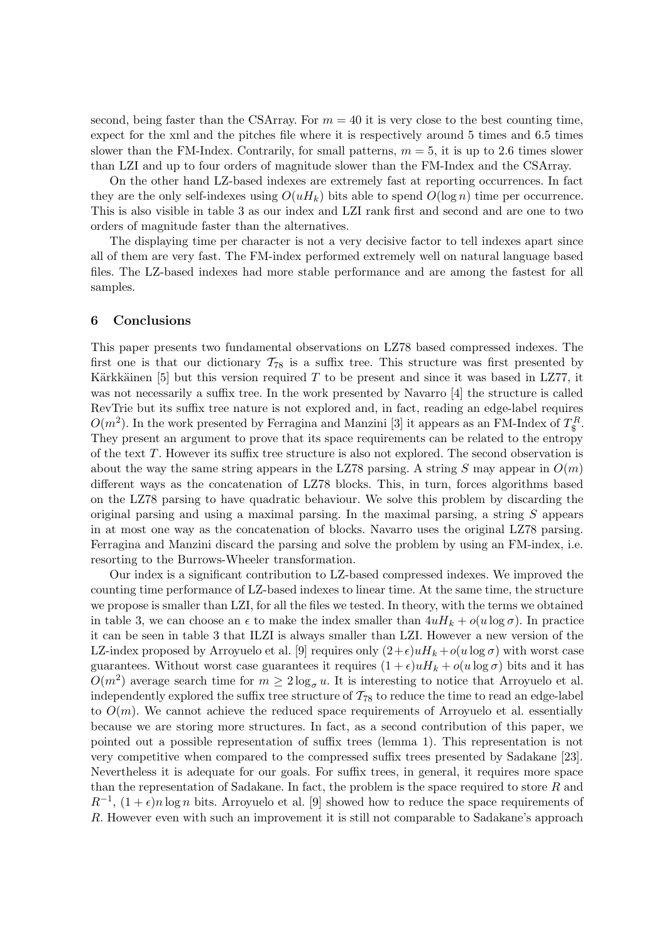second, being faster than the CSArray. For  $m = 40$  it is very close to the best counting time, expect for the xml and the pitches file where it is respectively around 5 times and 6.5 times slower than the FM-Index. Contrarily, for small patterns,  $m = 5$ , it is up to 2.6 times slower than LZI and up to four orders of magnitude slower than the FM-Index and the CSArray.

On the other hand LZ-based indexes are extremely fast at reporting occurrences. In fact they are the only self-indexes using  $O(uH_k)$  bits able to spend  $O(\log n)$  time per occurrence. This is also visible in table 3 as our index and LZI rank first and second and are one to two orders of magnitude faster than the alternatives.

The displaying time per character is not a very decisive factor to tell indexes apart since all of them are very fast. The FM-index performed extremely well on natural language based files. The LZ-based indexes had more stable performance and are among the fastest for all samples.

## 6 Conclusions

This paper presents two fundamental observations on LZ78 based compressed indexes. The first one is that our dictionary  $\mathcal{T}_{78}$  is a suffix tree. This structure was first presented by Kärkkäinen  $[5]$  but this version required T to be present and since it was based in LZ77, it was not necessarily a suffix tree. In the work presented by Navarro [4] the structure is called RevTrie but its suffix tree nature is not explored and, in fact, reading an edge-label requires  $O(m^2)$ . In the work presented by Ferragina and Manzini [3] it appears as an FM-Index of  $T^R$ . They present an argument to prove that its space requirements can be related to the entropy of the text T. However its suffix tree structure is also not explored. The second observation is about the way the same string appears in the LZ78 parsing. A string S may appear in  $O(m)$ different ways as the concatenation of LZ78 blocks. This, in turn, forces algorithms based on the LZ78 parsing to have quadratic behaviour. We solve this problem by discarding the original parsing and using a maximal parsing. In the maximal parsing, a string  $S$  appears in at most one way as the concatenation of blocks. Navarro uses the original LZ78 parsing. Ferragina and Manzini discard the parsing and solve the problem by using an FM-index, i.e. resorting to the Burrows-Wheeler transformation.

Our index is a significant contribution to LZ-based compressed indexes. We improved the counting time performance of LZ-based indexes to linear time. At the same time, the structure we propose is smaller than LZI, for all the files we tested. In theory, with the terms we obtained in table 3, we can choose an  $\epsilon$  to make the index smaller than  $4uH_k + o(u \log \sigma)$ . In practice it can be seen in table 3 that ILZI is always smaller than LZI. However a new version of the LZ-index proposed by Arroyuelo et al. [9] requires only  $(2+\epsilon)uH_k + o(u \log \sigma)$  with worst case guarantees. Without worst case guarantees it requires  $(1 + \epsilon)uH_k + o(u \log \sigma)$  bits and it has  $O(m^2)$  average search time for  $m \geq 2 \log_{\sigma} u$ . It is interesting to notice that Arroyuelo et al. independently explored the suffix tree structure of  $\mathcal{T}_{78}$  to reduce the time to read an edge-label to  $O(m)$ . We cannot achieve the reduced space requirements of Arroyuelo et al. essentially because we are storing more structures. In fact, as a second contribution of this paper, we pointed out a possible representation of suffix trees (lemma 1). This representation is not very competitive when compared to the compressed suffix trees presented by Sadakane [23]. Nevertheless it is adequate for our goals. For suffix trees, in general, it requires more space than the representation of Sadakane. In fact, the problem is the space required to store  $R$  and  $R^{-1}$ ,  $(1 + \epsilon)n \log n$  bits. Arroyuelo et al. [9] showed how to reduce the space requirements of R. However even with such an improvement it is still not comparable to Sadakane's approach